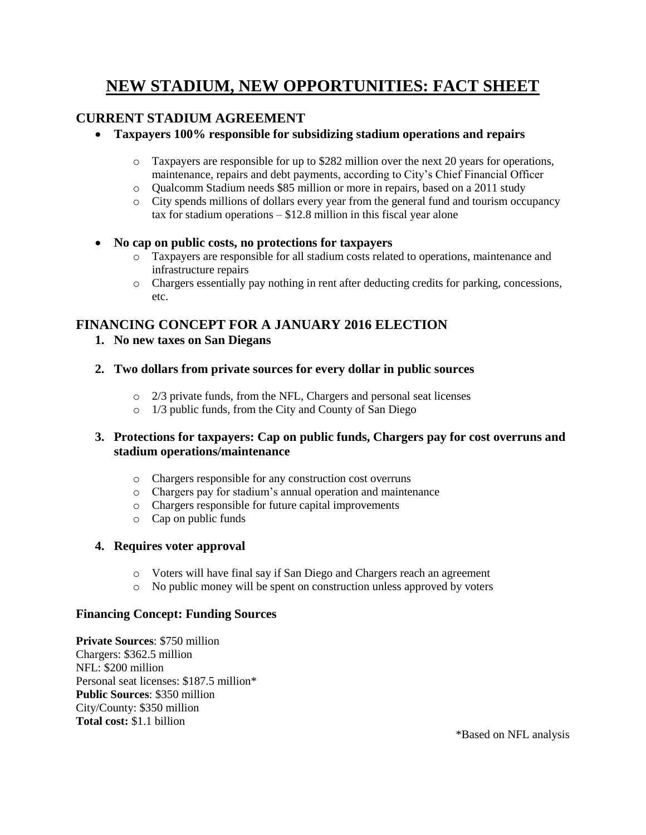# **NEW STADIUM, NEW OPPORTUNITIES: FACT SHEET**

## **CURRENT STADIUM AGREEMENT**

- **Taxpayers 100% responsible for subsidizing stadium operations and repairs**
	- o Taxpayers are responsible for up to \$282 million over the next 20 years for operations, maintenance, repairs and debt payments, according to City's Chief Financial Officer
	- o Qualcomm Stadium needs \$85 million or more in repairs, based on a 2011 study
	- o City spends millions of dollars every year from the general fund and tourism occupancy tax for stadium operations – \$12.8 million in this fiscal year alone

#### **No cap on public costs, no protections for taxpayers**

- o Taxpayers are responsible for all stadium costs related to operations, maintenance and infrastructure repairs
- o Chargers essentially pay nothing in rent after deducting credits for parking, concessions, etc.

## **FINANCING CONCEPT FOR A JANUARY 2016 ELECTION**

**1. No new taxes on San Diegans**

### **2. Two dollars from private sources for every dollar in public sources**

- o 2/3 private funds, from the NFL, Chargers and personal seat licenses
- $\circ$  1/3 public funds, from the City and County of San Diego

### **3. Protections for taxpayers: Cap on public funds, Chargers pay for cost overruns and stadium operations/maintenance**

- o Chargers responsible for any construction cost overruns
- o Chargers pay for stadium's annual operation and maintenance
- o Chargers responsible for future capital improvements
- o Cap on public funds

#### **4. Requires voter approval**

- o Voters will have final say if San Diego and Chargers reach an agreement
- o No public money will be spent on construction unless approved by voters

#### **Financing Concept: Funding Sources**

**Private Sources**: \$750 million Chargers: \$362.5 million NFL: \$200 million Personal seat licenses: \$187.5 million\* **Public Sources**: \$350 million City/County: \$350 million **Total cost:** \$1.1 billion

\*Based on NFL analysis